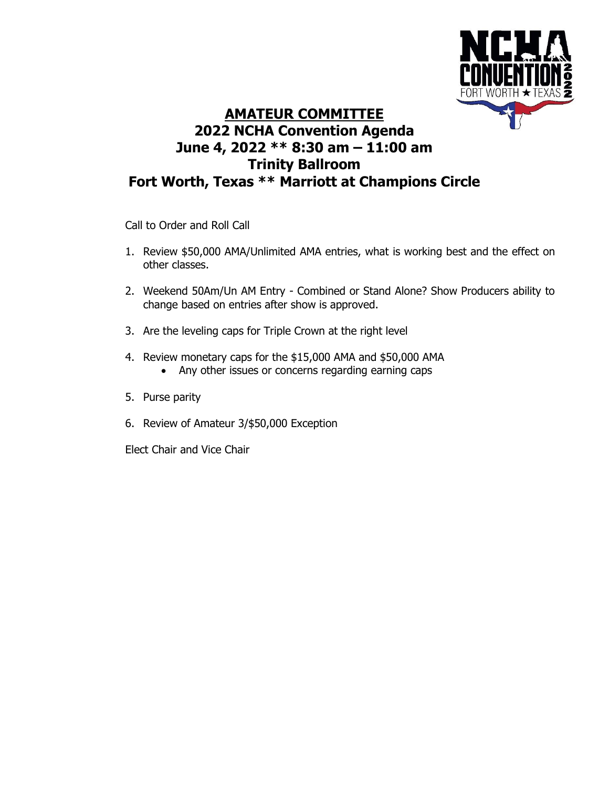

## **AMATEUR COMMITTEE 2022 NCHA Convention Agenda June 4, 2022 \*\* 8:30 am – 11:00 am Trinity Ballroom Fort Worth, Texas \*\* Marriott at Champions Circle**

Call to Order and Roll Call

- 1. Review \$50,000 AMA/Unlimited AMA entries, what is working best and the effect on other classes.
- 2. Weekend 50Am/Un AM Entry Combined or Stand Alone? Show Producers ability to change based on entries after show is approved.
- 3. Are the leveling caps for Triple Crown at the right level
- 4. Review monetary caps for the \$15,000 AMA and \$50,000 AMA
	- Any other issues or concerns regarding earning caps
- 5. Purse parity
- 6. Review of Amateur 3/\$50,000 Exception

Elect Chair and Vice Chair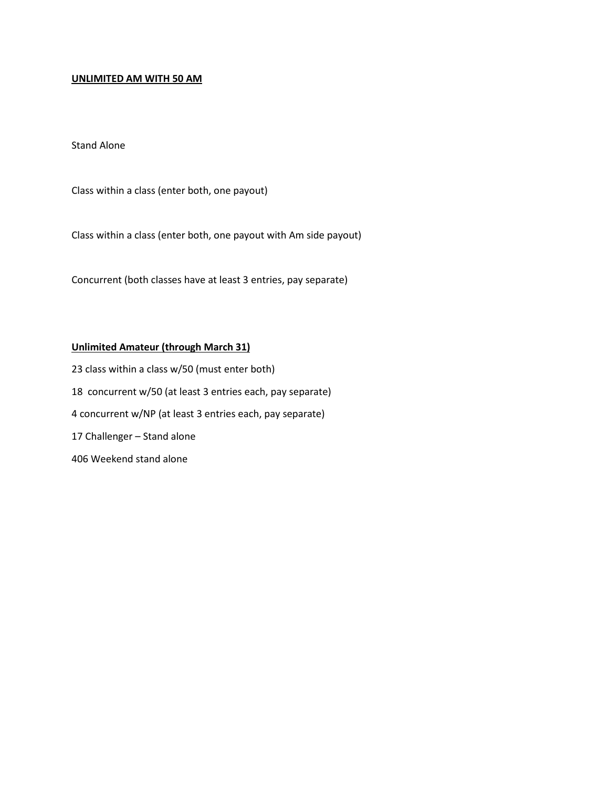#### **UNLIMITED AM WITH 50 AM**

Stand Alone

Class within a class (enter both, one payout)

Class within a class (enter both, one payout with Am side payout)

Concurrent (both classes have at least 3 entries, pay separate)

#### **Unlimited Amateur (through March 31)**

23 class within a class w/50 (must enter both) 18 concurrent w/50 (at least 3 entries each, pay separate) 4 concurrent w/NP (at least 3 entries each, pay separate) 17 Challenger – Stand alone 406 Weekend stand alone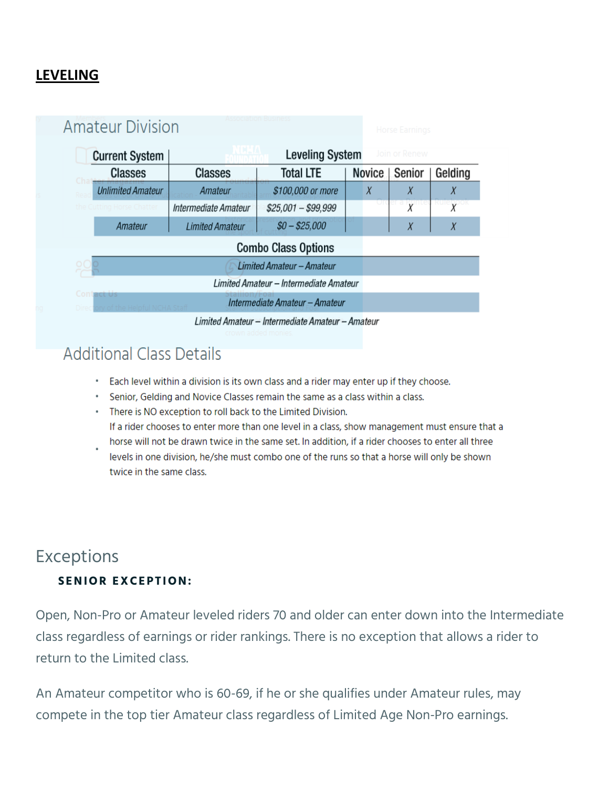## **LEVELING**

| <b>Current System</b>     |                        | <b>Leveling System</b>                 |               | Join or Renew  |         |
|---------------------------|------------------------|----------------------------------------|---------------|----------------|---------|
| <b>Classes</b>            | <b>Classes</b>         | <b>Total LTE</b>                       | <b>Novice</b> | Senior         | Gelding |
| <b>Unlimited Amateur</b>  | Amateur                | \$100,000 or more                      | $\chi$        | X              | $\chi$  |
| the Cutting Horse Chatter | Intermediate Amateur   | $$25,001 - $99,999$                    | UΠ            | $\overline{X}$ | X       |
| Amateur                   | <b>Limited Amateur</b> | $$0 - $25,000$                         |               | $\chi$         | $\chi$  |
|                           |                        | <b>Combo Class Options</b>             |               |                |         |
|                           |                        | Limited Amateur - Amateur              |               |                |         |
|                           |                        | Limited Amateur – Intermediate Amateur |               |                |         |
| Contactius                |                        | Intermediate Amateur - Amateur         |               |                |         |

# **Additional Class Details**

- Each level within a division is its own class and a rider may enter up if they choose.
- . Senior, Gelding and Novice Classes remain the same as a class within a class.
- . There is NO exception to roll back to the Limited Division. If a rider chooses to enter more than one level in a class, show management must ensure that a
- horse will not be drawn twice in the same set. In addition, if a rider chooses to enter all three levels in one division, he/she must combo one of the runs so that a horse will only be shown twice in the same class.

## Exceptions

## **SENIOR EXCEPTION:**

Open, Non-Pro or Amateur leveled riders 70 and older can enter down into the Intermediate class regardless of earnings or rider rankings. There is no exception that allows a rider to return to the Limited class.

An Amateur competitor who is 60-69, if he or she qualifies under Amateur rules, may compete in the top tier Amateur class regardless of Limited Age Non-Pro earnings.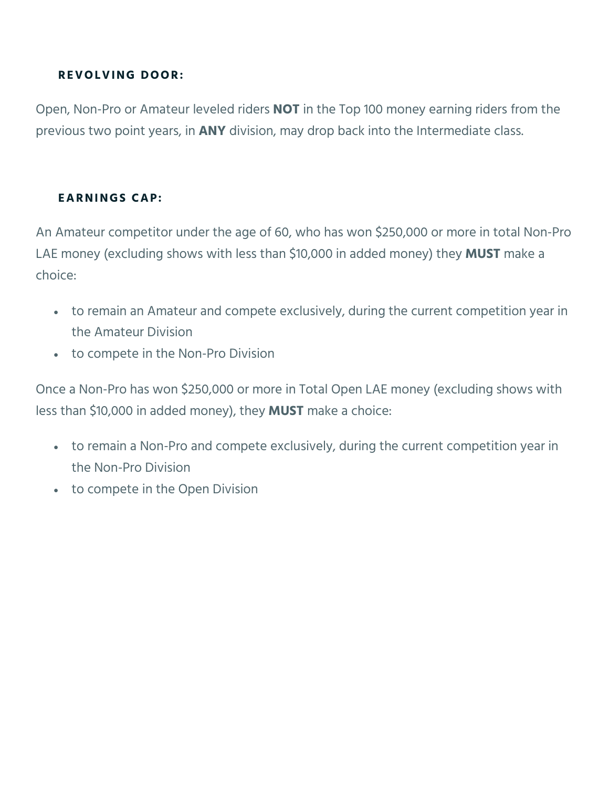## **REVOLVING DOOR:**

Open, Non-Pro or Amateur leveled riders **NOT** in the Top 100 money earning riders from the previous two point years, in **ANY** division, may drop back into the Intermediate class.

## **EARNINGS CAP:**

An Amateur competitor under the age of 60, who has won \$250,000 or more in total Non-Pro LAE money (excluding shows with less than \$10,000 in added money) they **MUST** make a choice:

- to remain an Amateur and compete exclusively, during the current competition year in the Amateur Division
- to compete in the Non-Pro Division

Once a Non-Pro has won \$250,000 or more in Total Open LAE money (excluding shows with less than \$10,000 in added money), they **MUST** make a choice:

- to remain a Non-Pro and compete exclusively, during the current competition year in the Non-Pro Division
- to compete in the Open Division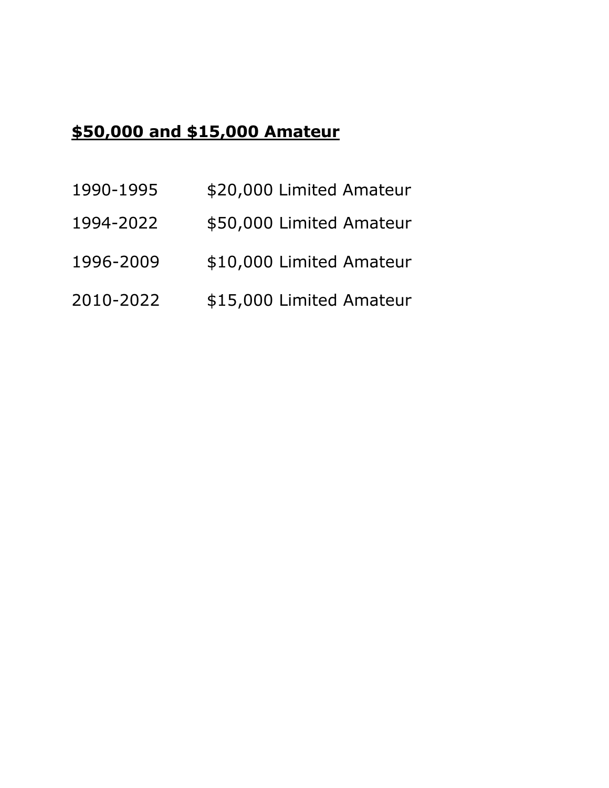# **\$50,000 and \$15,000 Amateur**

- 1990-1995 \$20,000 Limited Amateur
- 1994-2022 \$50,000 Limited Amateur
- 1996-2009 \$10,000 Limited Amateur
- 2010-2022 \$15,000 Limited Amateur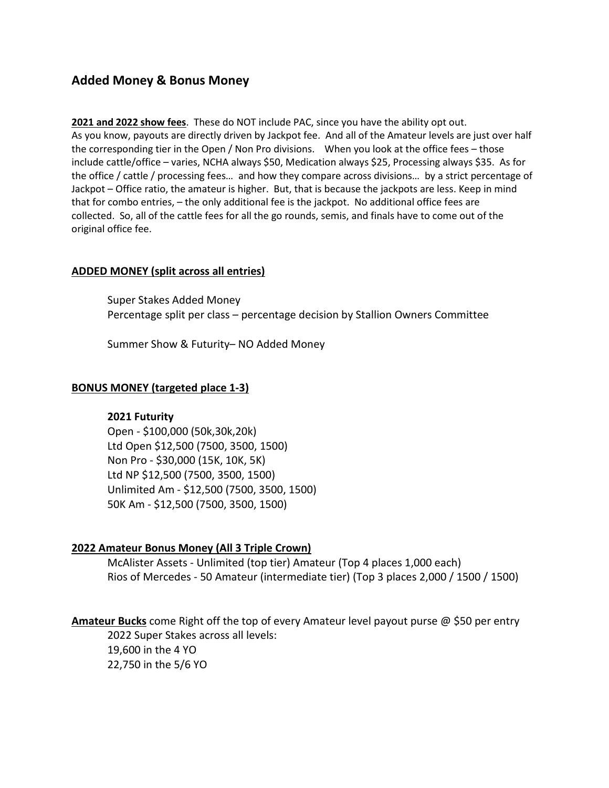## **Added Money & Bonus Money**

**2021 and 2022 show fees**. These do NOT include PAC, since you have the ability opt out. As you know, payouts are directly driven by Jackpot fee. And all of the Amateur levels are just over half the corresponding tier in the Open / Non Pro divisions. When you look at the office fees – those include cattle/office – varies, NCHA always \$50, Medication always \$25, Processing always \$35. As for the office / cattle / processing fees… and how they compare across divisions… by a strict percentage of Jackpot – Office ratio, the amateur is higher. But, that is because the jackpots are less. Keep in mind that for combo entries, – the only additional fee is the jackpot. No additional office fees are collected. So, all of the cattle fees for all the go rounds, semis, and finals have to come out of the original office fee.

### **ADDED MONEY (split across all entries)**

Super Stakes Added Money Percentage split per class – percentage decision by Stallion Owners Committee

Summer Show & Futurity– NO Added Money

### **BONUS MONEY (targeted place 1-3)**

#### **2021 Futurity**

Open - \$100,000 (50k,30k,20k) Ltd Open \$12,500 (7500, 3500, 1500) Non Pro - \$30,000 (15K, 10K, 5K) Ltd NP \$12,500 (7500, 3500, 1500) Unlimited Am - \$12,500 (7500, 3500, 1500) 50K Am - \$12,500 (7500, 3500, 1500)

### **2022 Amateur Bonus Money (All 3 Triple Crown)**

McAlister Assets - Unlimited (top tier) Amateur (Top 4 places 1,000 each) Rios of Mercedes - 50 Amateur (intermediate tier) (Top 3 places 2,000 / 1500 / 1500)

**Amateur Bucks** come Right off the top of every Amateur level payout purse @ \$50 per entry 2022 Super Stakes across all levels: 19,600 in the 4 YO 22,750 in the 5/6 YO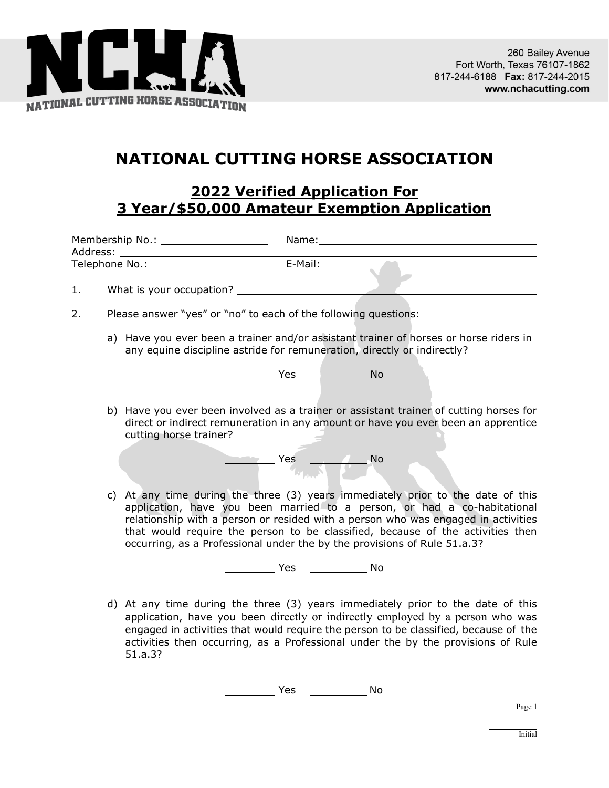

# **NATIONAL CUTTING HORSE ASSOCIATION**

## **2022 Verified Application For 3 Year/\$50,000 Amateur Exemption Application**

| 1. |  | What is your occupation? Network and the set of the set of the set of the set of the set of the set of the set o                                                                                                                                                                                                                                                                                               |  |  |  |  |  |
|----|--|----------------------------------------------------------------------------------------------------------------------------------------------------------------------------------------------------------------------------------------------------------------------------------------------------------------------------------------------------------------------------------------------------------------|--|--|--|--|--|
| 2. |  | Please answer "yes" or "no" to each of the following questions:                                                                                                                                                                                                                                                                                                                                                |  |  |  |  |  |
|    |  | a) Have you ever been a trainer and/or assistant trainer of horses or horse riders in<br>any equine discipline astride for remuneration, directly or indirectly?                                                                                                                                                                                                                                               |  |  |  |  |  |
|    |  | ______________ Yes ________________ No                                                                                                                                                                                                                                                                                                                                                                         |  |  |  |  |  |
|    |  | b) Have you ever been involved as a trainer or assistant trainer of cutting horses for<br>direct or indirect remuneration in any amount or have you ever been an apprentice<br>cutting horse trainer?                                                                                                                                                                                                          |  |  |  |  |  |
|    |  | $Yes$ No                                                                                                                                                                                                                                                                                                                                                                                                       |  |  |  |  |  |
|    |  | c) At any time during the three (3) years immediately prior to the date of this<br>application, have you been married to a person, or had a co-habitational<br>relationship with a person or resided with a person who was engaged in activities<br>that would require the person to be classified, because of the activities then<br>occurring, as a Professional under the by the provisions of Rule 51.a.3? |  |  |  |  |  |
|    |  |                                                                                                                                                                                                                                                                                                                                                                                                                |  |  |  |  |  |
|    |  | d) At any time during the three (3) years immediately prior to the date of this                                                                                                                                                                                                                                                                                                                                |  |  |  |  |  |

application, have you been directly or indirectly employed by a person who was engaged in activities that would require the person to be classified, because of the activities then occurring, as a Professional under the by the provisions of Rule 51.a.3?

Yes No